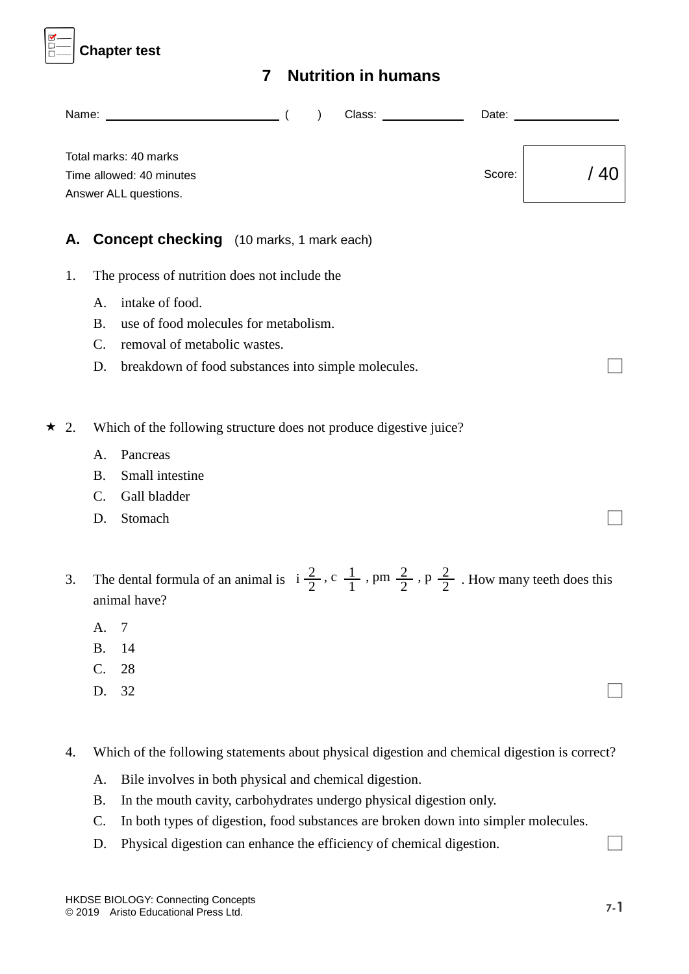

# **7 Nutrition in humans**

|            |                             | Class: ______________<br>Name: (<br>Date: $\_\_$<br>$\lambda$                                                                                              |      |
|------------|-----------------------------|------------------------------------------------------------------------------------------------------------------------------------------------------------|------|
|            |                             | Total marks: 40 marks<br>Score:<br>Time allowed: 40 minutes<br>Answer ALL questions.                                                                       | / 40 |
| А.         |                             | <b>Concept checking</b> (10 marks, 1 mark each)                                                                                                            |      |
| 1.         |                             | The process of nutrition does not include the                                                                                                              |      |
|            | A.<br><b>B.</b><br>C.<br>D. | intake of food.<br>use of food molecules for metabolism.<br>removal of metabolic wastes.<br>breakdown of food substances into simple molecules.            |      |
| $\star$ 2. |                             | Which of the following structure does not produce digestive juice?                                                                                         |      |
|            | A.<br><b>B.</b><br>C.<br>D. | Pancreas<br>Small intestine<br>Gall bladder<br>Stomach                                                                                                     |      |
| 3.         |                             | The dental formula of an animal is $i\frac{2}{2}$ , c $\frac{1}{1}$ , pm $\frac{2}{2}$ , p $\frac{2}{2}$ . How many teeth does this<br>animal have?        |      |
|            | A.<br><b>B.</b><br>C.<br>D. | $\tau$<br>14<br>28<br>32                                                                                                                                   |      |
| 4.         |                             | Which of the following statements about physical digestion and chemical digestion is correct?                                                              |      |
|            | A.                          | Bile involves in both physical and chemical digestion.                                                                                                     |      |
|            | <b>B.</b><br>C.             | In the mouth cavity, carbohydrates undergo physical digestion only.<br>In both types of digestion, food substances are broken down into simpler molecules. |      |

D. Physical digestion can enhance the efficiency of chemical digestion. □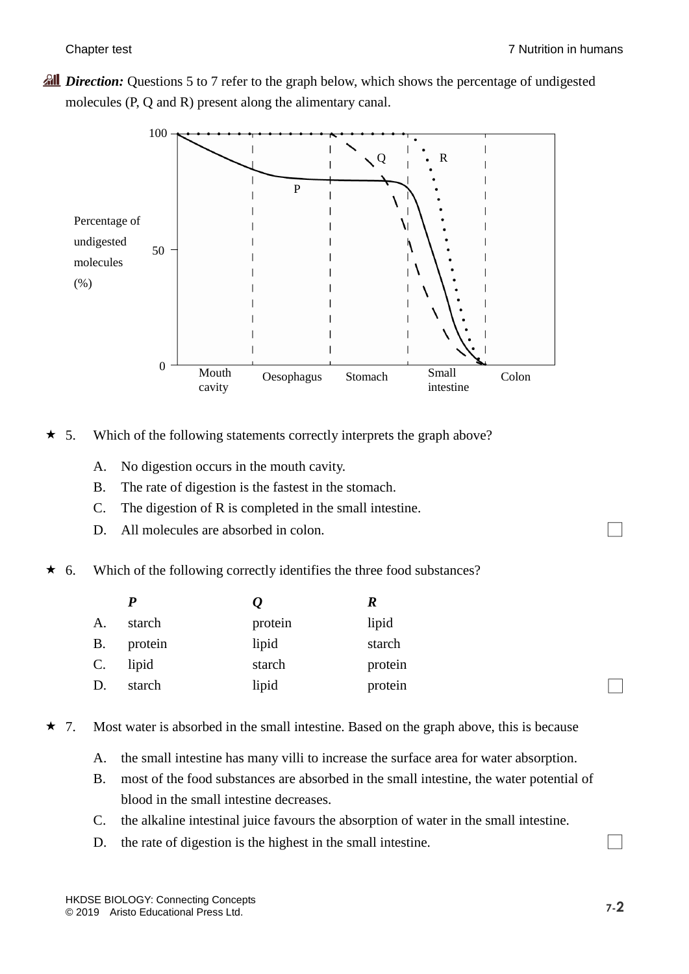*Pull Direction:* Questions 5 to 7 refer to the graph below, which shows the percentage of undigested molecules (P, Q and R) present along the alimentary canal.



- $\star$  5. Which of the following statements correctly interprets the graph above?
	- A. No digestion occurs in the mouth cavity.
	- B. The rate of digestion is the fastest in the stomach.
	- C. The digestion of R is completed in the small intestine.
	- D. All molecules are absorbed in colon.
- $\star$  6. Which of the following correctly identifies the three food substances?

|                 |         |         | R       |
|-----------------|---------|---------|---------|
| A.              | starch  | protein | lipid   |
| <b>B.</b>       | protein | lipid   | starch  |
| $\mathcal{C}$ . | lipid   | starch  | protein |
| D.              | starch  | lipid   | protein |

- $\star$  7. Most water is absorbed in the small intestine. Based on the graph above, this is because
	- A. the small intestine has many villi to increase the surface area for water absorption.
	- B. most of the food substances are absorbed in the small intestine, the water potential of blood in the small intestine decreases.
	- C. the alkaline intestinal juice favours the absorption of water in the small intestine.
	- D. the rate of digestion is the highest in the small intestine.  $\Box$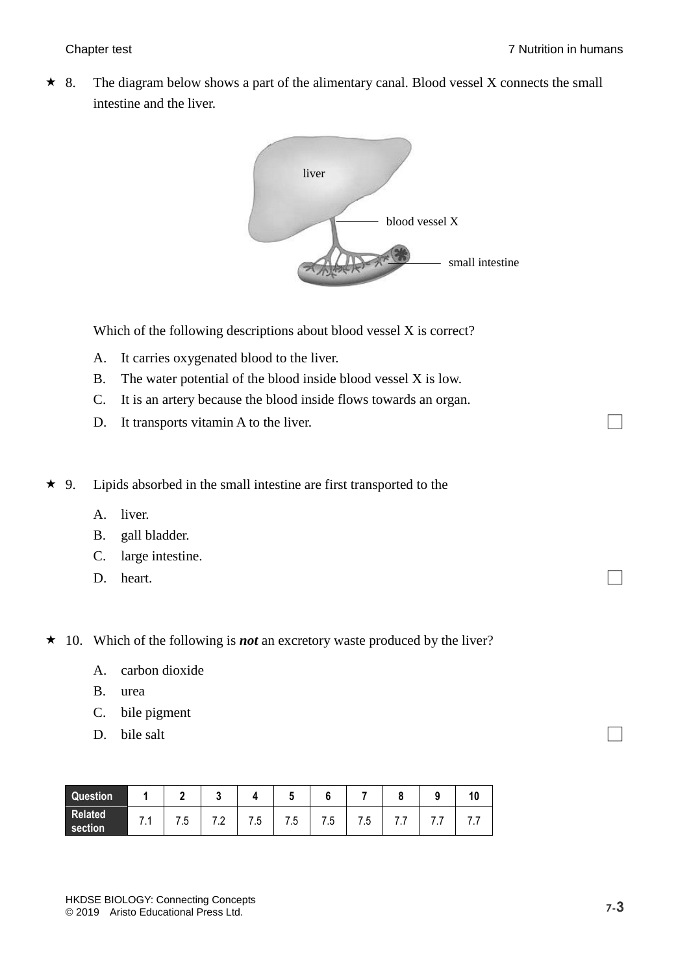$\star$  8. The diagram below shows a part of the alimentary canal. Blood vessel X connects the small intestine and the liver.



Which of the following descriptions about blood vessel X is correct?

- A. It carries oxygenated blood to the liver.
- B. The water potential of the blood inside blood vessel X is low.
- C. It is an artery because the blood inside flows towards an organ.
- D. It transports vitamin A to the liver.
- $\star$  9. Lipids absorbed in the small intestine are first transported to the
	- A. liver.
	- B. gall bladder.
	- C. large intestine.
	- D. heart.  $\Box$

★ 10. Which of the following is *not* an excretory waste produced by the liver?

- A. carbon dioxide
- B. urea
- C. bile pigment
- D. bile salt  $\Box$

| Question                  |         |    |     |            |           |     |         |   |     |  |
|---------------------------|---------|----|-----|------------|-----------|-----|---------|---|-----|--|
| <b>Related</b><br>section | 74<br>. | ں. | . . | $\angle 5$ | 'n<br>. ب | . ე | -<br>.ა | . | . . |  |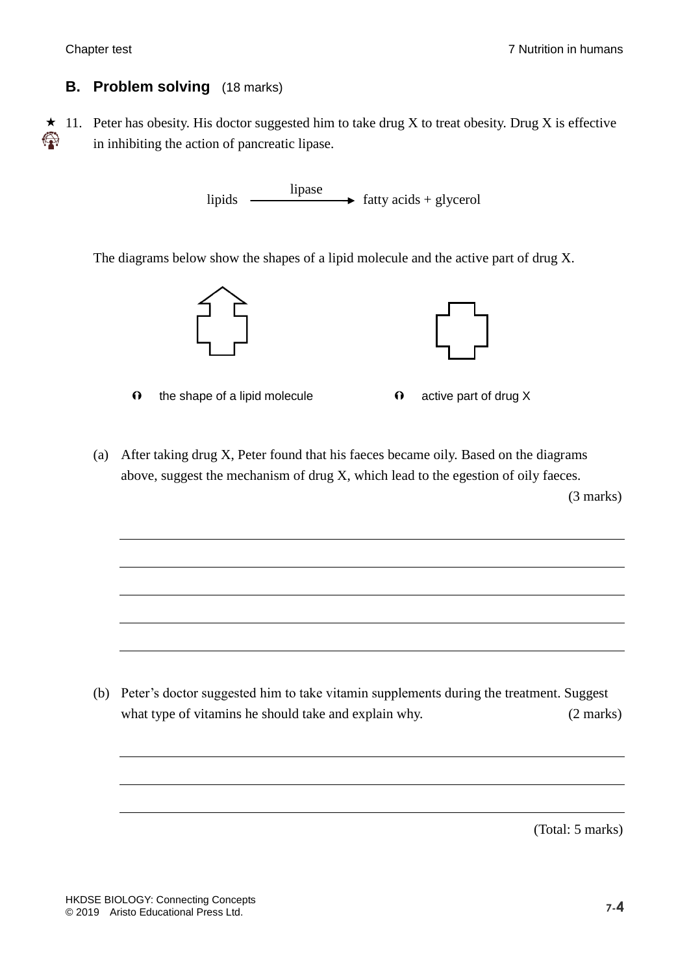### **B. Problem solving** (18 marks)

 $\star$  11. Peter has obesity. His doctor suggested him to take drug X to treat obesity. Drug X is effective **\*\*\*** in inhibiting the action of pancreatic lipase.

> lipids  $\longrightarrow$  fatty acids + glycerol lipase

The diagrams below show the shapes of a lipid molecule and the active part of drug X.



- $\theta$  the shape of a lipid molecule  $\theta$  active part of drug X
- (a) After taking drug X, Peter found that his faeces became oily. Based on the diagrams above, suggest the mechanism of drug X, which lead to the egestion of oily faeces.

(3 marks)

(b) Peter's doctor suggested him to take vitamin supplements during the treatment. Suggest what type of vitamins he should take and explain why. (2 marks)

(Total: 5 marks)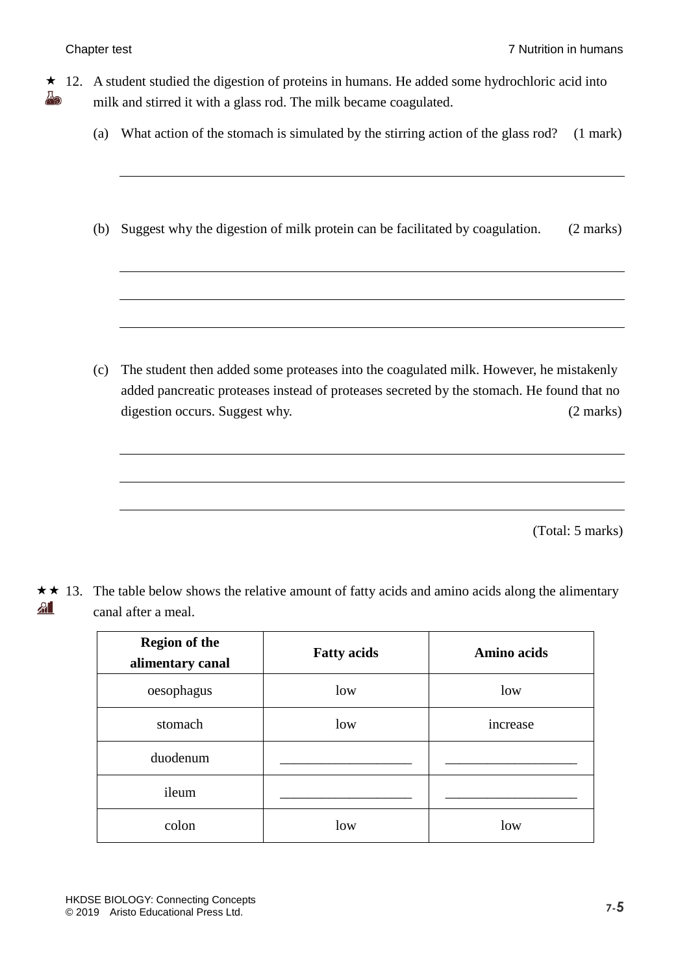- $\star$  12. A student studied the digestion of proteins in humans. He added some hydrochloric acid into Å9 milk and stirred it with a glass rod. The milk became coagulated.
	- (a) What action of the stomach is simulated by the stirring action of the glass rod? (1 mark)
	- (b) Suggest why the digestion of milk protein can be facilitated by coagulation. (2 marks)

(c) The student then added some proteases into the coagulated milk. However, he mistakenly added pancreatic proteases instead of proteases secreted by the stomach. He found that no digestion occurs. Suggest why. (2 marks)

(Total: 5 marks)

 $\star \star$  13. The table below shows the relative amount of fatty acids and amino acids along the alimentary  $A$ ll canal after a meal.

| <b>Region of the</b><br>alimentary canal | <b>Fatty acids</b> | <b>Amino acids</b> |  |  |
|------------------------------------------|--------------------|--------------------|--|--|
| oesophagus                               | low                | low                |  |  |
| stomach                                  | low                | increase           |  |  |
| duodenum                                 |                    |                    |  |  |
| ileum                                    |                    |                    |  |  |
| colon                                    | low                | low                |  |  |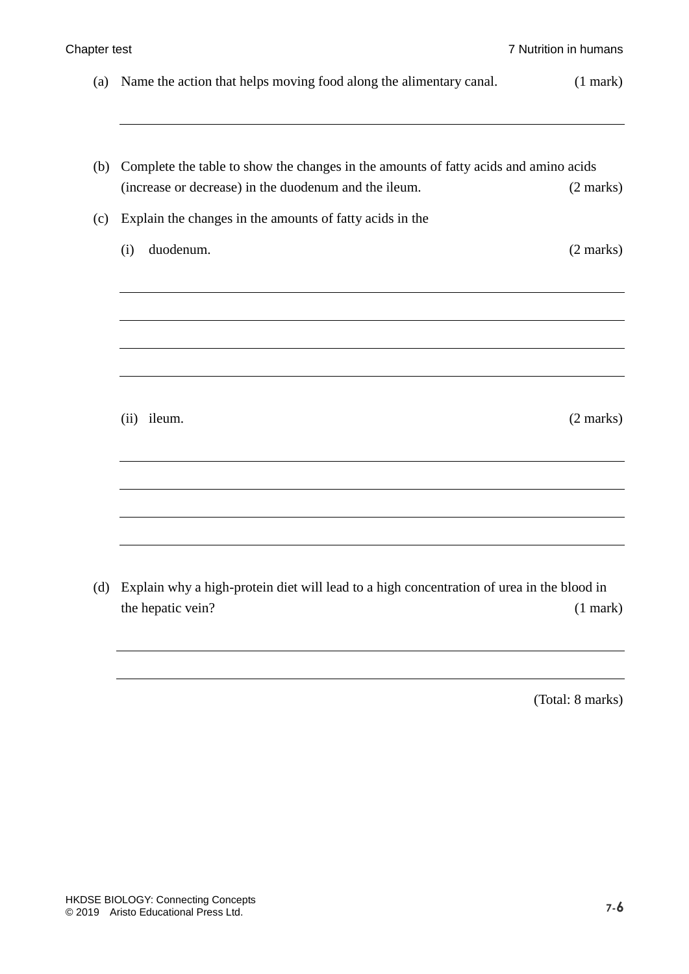| Name the action that helps moving food along the alimentary canal.                   | (1 mark)            |
|--------------------------------------------------------------------------------------|---------------------|
|                                                                                      |                     |
| Complete the table to show the changes in the amounts of fatty acids and amino acids |                     |
| (increase or decrease) in the duodenum and the ileum.                                | (2 marks)           |
| Explain the changes in the amounts of fatty acids in the                             |                     |
| duodenum.<br>(i)                                                                     | $(2 \text{ marks})$ |
|                                                                                      |                     |
|                                                                                      |                     |
|                                                                                      |                     |
|                                                                                      |                     |
|                                                                                      |                     |
| (ii) ileum.                                                                          | $(2 \text{ marks})$ |
|                                                                                      |                     |
|                                                                                      |                     |
|                                                                                      |                     |
|                                                                                      |                     |
|                                                                                      |                     |

(d) Explain why a high-protein diet will lead to a high concentration of urea in the blood in the hepatic vein? (1 mark)

(Total: 8 marks)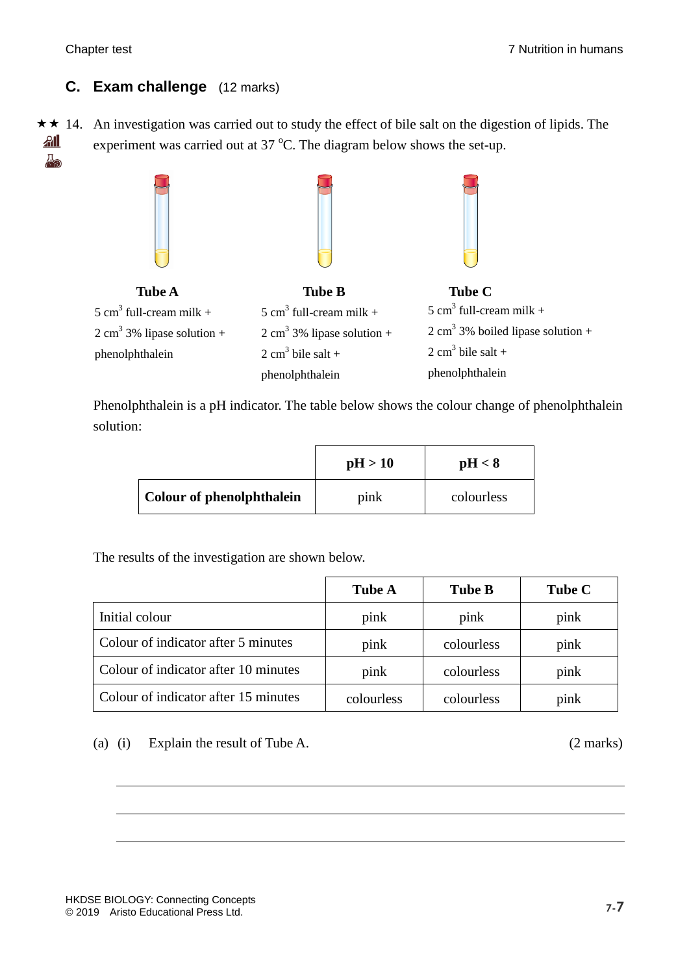## **C. Exam challenge** (12 marks)

 $\star \star$  14. An investigation was carried out to study the effect of bile salt on the digestion of lipids. The  $A$ experiment was carried out at  $37 \degree C$ . The diagram below shows the set-up. A<sub>o</sub>



Phenolphthalein is a pH indicator. The table below shows the colour change of phenolphthalein solution:

|                           | pH > 10 | pH < 8     |
|---------------------------|---------|------------|
| Colour of phenolphthalein | pink    | colourless |

The results of the investigation are shown below.

|                                      | <b>Tube A</b> | <b>Tube B</b> | <b>Tube C</b> |
|--------------------------------------|---------------|---------------|---------------|
| Initial colour                       | pink          | pink          | pink          |
| Colour of indicator after 5 minutes  | pink          | colourless    | pink          |
| Colour of indicator after 10 minutes | pink          | colourless    | pink          |
| Colour of indicator after 15 minutes | colourless    | colourless    | pink          |

(a) (i) Explain the result of Tube A. (2 marks)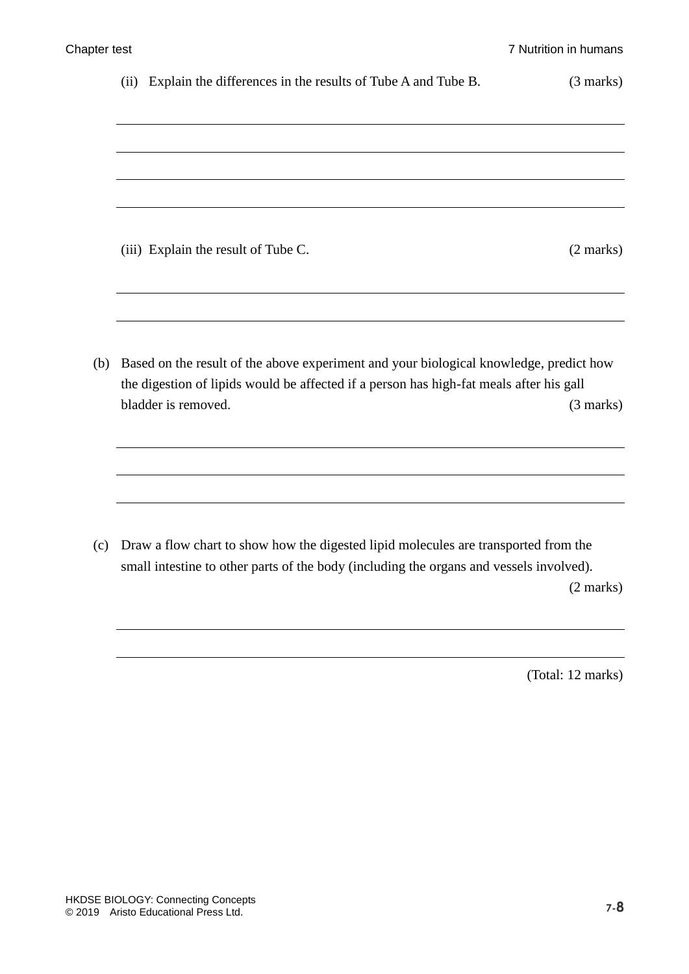|     | Explain the differences in the results of Tube A and Tube B.<br>(ii)                    | (3 marks)           |
|-----|-----------------------------------------------------------------------------------------|---------------------|
|     |                                                                                         |                     |
|     |                                                                                         |                     |
|     |                                                                                         |                     |
|     |                                                                                         |                     |
|     |                                                                                         |                     |
|     | (iii) Explain the result of Tube C.                                                     | $(2 \text{ marks})$ |
|     |                                                                                         |                     |
|     |                                                                                         |                     |
| (b) | Based on the result of the above experiment and your biological knowledge, predict how  |                     |
|     | the digestion of lipids would be affected if a person has high-fat meals after his gall |                     |
|     | bladder is removed.                                                                     | $(3 \text{ marks})$ |
|     |                                                                                         |                     |
|     |                                                                                         |                     |
|     |                                                                                         |                     |

(c) Draw a flow chart to show how the digested lipid molecules are transported from the small intestine to other parts of the body (including the organs and vessels involved). (2 marks)

(Total: 12 marks)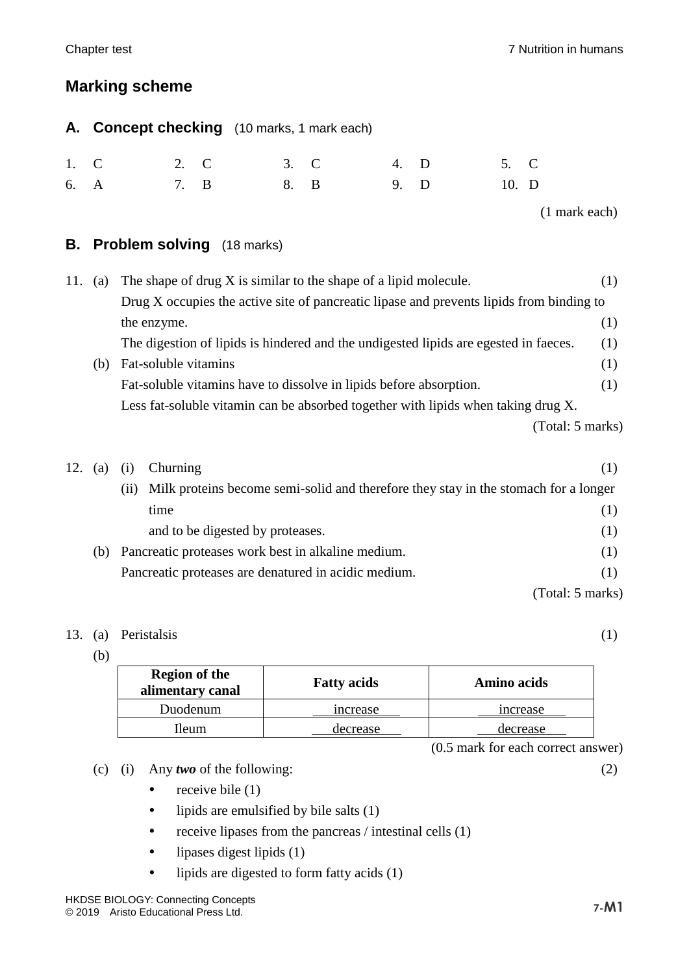# **Marking scheme**

|      | A. Concept checking (10 marks, 1 mark each) |      |  |      |      |         |
|------|---------------------------------------------|------|--|------|------|---------|
| 1. C |                                             | 2. C |  | 3. C | 4. D | 5. C    |
| 6. A |                                             | 7. B |  | 8. B | 9. D | $10.$ D |

(1 mark each)

### **B. Problem solving** (18 marks)

| 11. | $\left( a\right)$ | The shape of drug X is similar to the shape of a lipid molecule.                         | (1) |
|-----|-------------------|------------------------------------------------------------------------------------------|-----|
|     |                   | Drug X occupies the active site of pancreatic lipase and prevents lipids from binding to |     |
|     |                   | the enzyme.                                                                              | (1) |
|     |                   | The digestion of lipids is hindered and the undigested lipids are egested in faeces.     | (1) |
|     | (b)               | Fat-soluble vitamins                                                                     | (1) |
|     |                   | Fat-soluble vitamins have to dissolve in lipids before absorption.                       | (1) |
|     |                   | Less fat-soluble vitamin can be absorbed together with lipids when taking drug X.        |     |
|     |                   | (Total: 5 marks)                                                                         |     |
|     |                   |                                                                                          |     |
|     | (a)               | Churning<br>(1)                                                                          | (1) |
|     |                   |                                                                                          |     |

|     | (i) | Milk proteins become semi-solid and therefore they stay in the stomach for a longer |                  |
|-----|-----|-------------------------------------------------------------------------------------|------------------|
|     |     | time                                                                                | (1)              |
|     |     | and to be digested by proteases.                                                    | (1)              |
| (b) |     | Pancreatic proteases work best in alkaline medium.                                  | (1)              |
|     |     | Pancreatic proteases are denatured in acidic medium.                                | (1)              |
|     |     |                                                                                     | (Total: 5 marks) |

### 13. (a) Peristalsis (1)

(b)

| <b>Region of the</b><br>alimentary canal | <b>Fatty acids</b> | Amino acids    |
|------------------------------------------|--------------------|----------------|
| Duodenum                                 | mcrease            | <i>ncrease</i> |
| lleum                                    | decrease           | decrease       |

(0.5 mark for each correct answer)

(c) (i) Any *two* of the following: (2)

- receive bile  $(1)$
- lipids are emulsified by bile salts (1)
- receive lipases from the pancreas  $/$  intestinal cells  $(1)$
- lipases digest lipids (1)
- lipids are digested to form fatty acids (1)